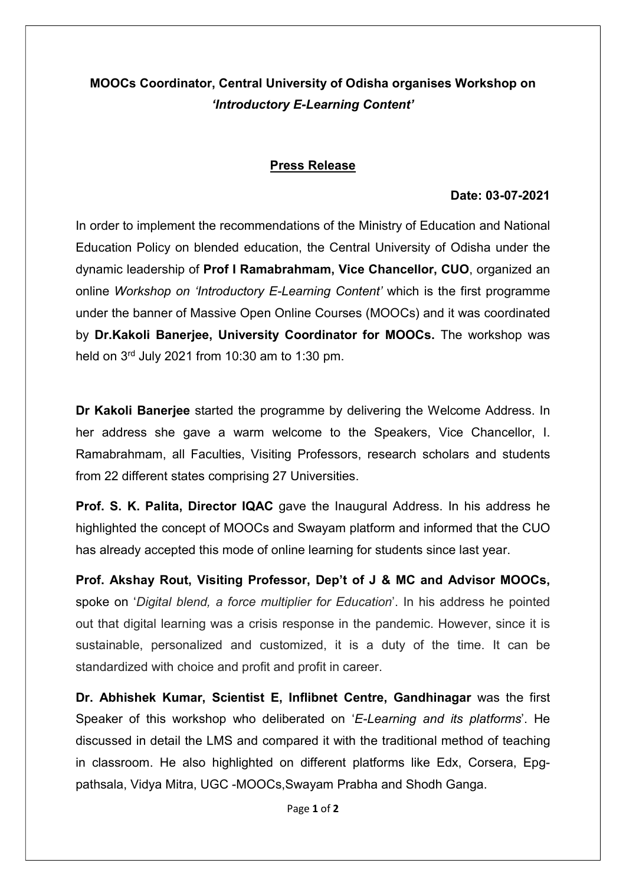## MOOCs Coordinator, Central University of Odisha organises Workshop on 'Introductory E-Learning Content'

## Press Release

## Date: 03-07-2021

In order to implement the recommendations of the Ministry of Education and National Education Policy on blended education, the Central University of Odisha under the dynamic leadership of Prof I Ramabrahmam, Vice Chancellor, CUO, organized an online Workshop on 'Introductory E-Learning Content' which is the first programme under the banner of Massive Open Online Courses (MOOCs) and it was coordinated by Dr.Kakoli Banerjee, University Coordinator for MOOCs. The workshop was held on  $3<sup>rd</sup>$  July 2021 from 10:30 am to 1:30 pm.

Dr Kakoli Banerjee started the programme by delivering the Welcome Address. In her address she gave a warm welcome to the Speakers, Vice Chancellor, I. Ramabrahmam, all Faculties, Visiting Professors, research scholars and students from 22 different states comprising 27 Universities.

Prof. S. K. Palita, Director IQAC gave the Inaugural Address. In his address he highlighted the concept of MOOCs and Swayam platform and informed that the CUO has already accepted this mode of online learning for students since last year.

Prof. Akshay Rout, Visiting Professor, Dep't of J & MC and Advisor MOOCs, spoke on 'Digital blend, a force multiplier for Education'. In his address he pointed out that digital learning was a crisis response in the pandemic. However, since it is sustainable, personalized and customized, it is a duty of the time. It can be standardized with choice and profit and profit in career.

Dr. Abhishek Kumar, Scientist E, Inflibnet Centre, Gandhinagar was the first Speaker of this workshop who deliberated on 'E-Learning and its platforms'. He discussed in detail the LMS and compared it with the traditional method of teaching in classroom. He also highlighted on different platforms like Edx, Corsera, Epgpathsala, Vidya Mitra, UGC -MOOCs,Swayam Prabha and Shodh Ganga.

Page 1 of 2